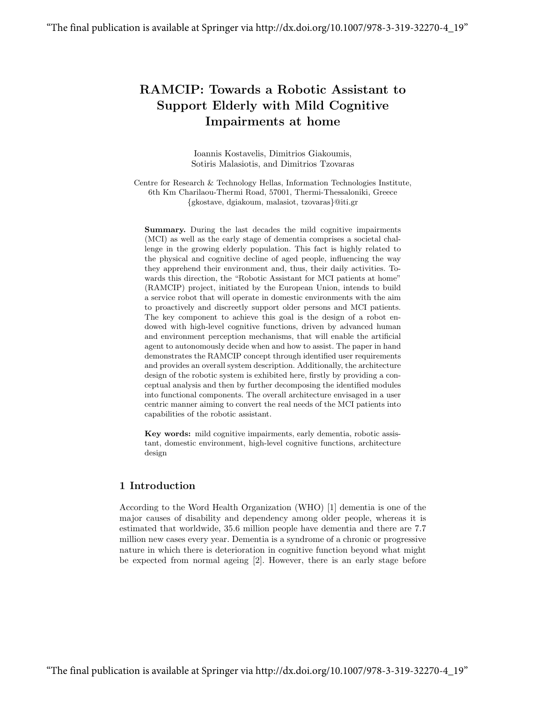# RAMCIP: Towards a Robotic Assistant to Support Elderly with Mild Cognitive Impairments at home

Ioannis Kostavelis, Dimitrios Giakoumis, Sotiris Malasiotis, and Dimitrios Tzovaras

Centre for Research & Technology Hellas, Information Technologies Institute, 6th Km Charilaou-Thermi Road, 57001, Thermi-Thessaloniki, Greece {gkostave, dgiakoum, malasiot, tzovaras}@iti.gr

Summary. During the last decades the mild cognitive impairments (MCI) as well as the early stage of dementia comprises a societal challenge in the growing elderly population. This fact is highly related to the physical and cognitive decline of aged people, influencing the way they apprehend their environment and, thus, their daily activities. Towards this direction, the "Robotic Assistant for MCI patients at home" (RAMCIP) project, initiated by the European Union, intends to build a service robot that will operate in domestic environments with the aim to proactively and discreetly support older persons and MCI patients. The key component to achieve this goal is the design of a robot endowed with high-level cognitive functions, driven by advanced human and environment perception mechanisms, that will enable the artificial agent to autonomously decide when and how to assist. The paper in hand demonstrates the RAMCIP concept through identified user requirements and provides an overall system description. Additionally, the architecture design of the robotic system is exhibited here, firstly by providing a conceptual analysis and then by further decomposing the identified modules into functional components. The overall architecture envisaged in a user centric manner aiming to convert the real needs of the MCI patients into capabilities of the robotic assistant.

Key words: mild cognitive impairments, early dementia, robotic assistant, domestic environment, high-level cognitive functions, architecture design

# 1 Introduction

According to the Word Health Organization (WHO) [1] dementia is one of the major causes of disability and dependency among older people, whereas it is estimated that worldwide, 35.6 million people have dementia and there are 7.7 million new cases every year. Dementia is a syndrome of a chronic or progressive nature in which there is deterioration in cognitive function beyond what might be expected from normal ageing [2]. However, there is an early stage before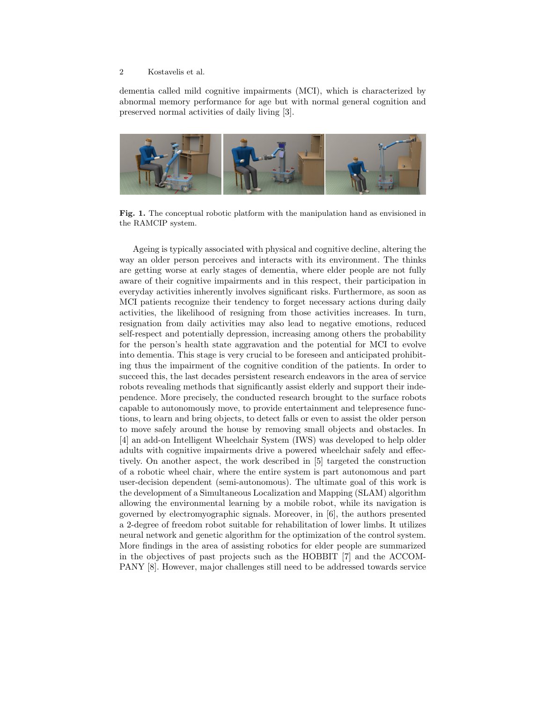#### 2 Kostavelis et al.

dementia called mild cognitive impairments (MCI), which is characterized by abnormal memory performance for age but with normal general cognition and preserved normal activities of daily living [3].



Fig. 1. The conceptual robotic platform with the manipulation hand as envisioned in the RAMCIP system.

Ageing is typically associated with physical and cognitive decline, altering the way an older person perceives and interacts with its environment. The thinks are getting worse at early stages of dementia, where elder people are not fully aware of their cognitive impairments and in this respect, their participation in everyday activities inherently involves significant risks. Furthermore, as soon as MCI patients recognize their tendency to forget necessary actions during daily activities, the likelihood of resigning from those activities increases. In turn, resignation from daily activities may also lead to negative emotions, reduced self-respect and potentially depression, increasing among others the probability for the person's health state aggravation and the potential for MCI to evolve into dementia. This stage is very crucial to be foreseen and anticipated prohibiting thus the impairment of the cognitive condition of the patients. In order to succeed this, the last decades persistent research endeavors in the area of service robots revealing methods that significantly assist elderly and support their independence. More precisely, the conducted research brought to the surface robots capable to autonomously move, to provide entertainment and telepresence functions, to learn and bring objects, to detect falls or even to assist the older person to move safely around the house by removing small objects and obstacles. In [4] an add-on Intelligent Wheelchair System (IWS) was developed to help older adults with cognitive impairments drive a powered wheelchair safely and effectively. On another aspect, the work described in [5] targeted the construction of a robotic wheel chair, where the entire system is part autonomous and part user-decision dependent (semi-autonomous). The ultimate goal of this work is the development of a Simultaneous Localization and Mapping (SLAM) algorithm allowing the environmental learning by a mobile robot, while its navigation is governed by electromyographic signals. Moreover, in [6], the authors presented a 2-degree of freedom robot suitable for rehabilitation of lower limbs. It utilizes neural network and genetic algorithm for the optimization of the control system. More findings in the area of assisting robotics for elder people are summarized in the objectives of past projects such as the HOBBIT [7] and the ACCOM-PANY [8]. However, major challenges still need to be addressed towards service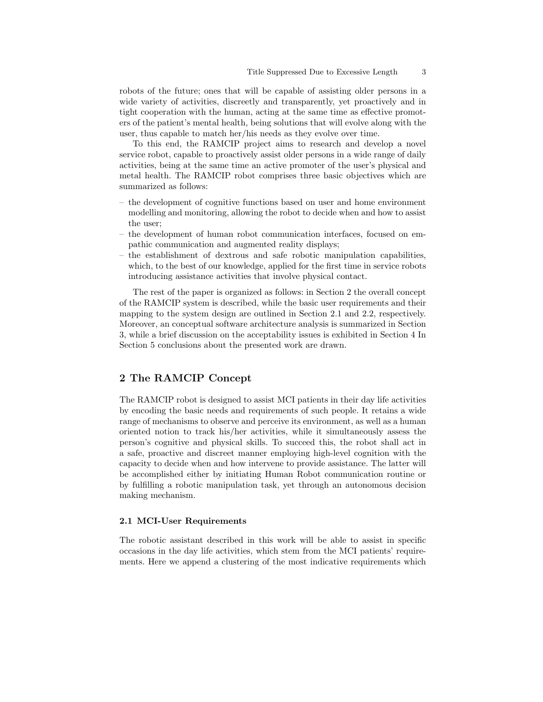robots of the future; ones that will be capable of assisting older persons in a wide variety of activities, discreetly and transparently, yet proactively and in tight cooperation with the human, acting at the same time as effective promoters of the patient's mental health, being solutions that will evolve along with the user, thus capable to match her/his needs as they evolve over time.

To this end, the RAMCIP project aims to research and develop a novel service robot, capable to proactively assist older persons in a wide range of daily activities, being at the same time an active promoter of the user's physical and metal health. The RAMCIP robot comprises three basic objectives which are summarized as follows:

- the development of cognitive functions based on user and home environment modelling and monitoring, allowing the robot to decide when and how to assist the user;
- the development of human robot communication interfaces, focused on empathic communication and augmented reality displays;
- the establishment of dextrous and safe robotic manipulation capabilities, which, to the best of our knowledge, applied for the first time in service robots introducing assistance activities that involve physical contact.

The rest of the paper is organized as follows: in Section 2 the overall concept of the RAMCIP system is described, while the basic user requirements and their mapping to the system design are outlined in Section 2.1 and 2.2, respectively. Moreover, an conceptual software architecture analysis is summarized in Section 3, while a brief discussion on the acceptability issues is exhibited in Section 4 In Section 5 conclusions about the presented work are drawn.

# 2 The RAMCIP Concept

The RAMCIP robot is designed to assist MCI patients in their day life activities by encoding the basic needs and requirements of such people. It retains a wide range of mechanisms to observe and perceive its environment, as well as a human oriented notion to track his/her activities, while it simultaneously assess the person's cognitive and physical skills. To succeed this, the robot shall act in a safe, proactive and discreet manner employing high-level cognition with the capacity to decide when and how intervene to provide assistance. The latter will be accomplished either by initiating Human Robot communication routine or by fulfilling a robotic manipulation task, yet through an autonomous decision making mechanism.

#### 2.1 MCI-User Requirements

The robotic assistant described in this work will be able to assist in specific occasions in the day life activities, which stem from the MCI patients' requirements. Here we append a clustering of the most indicative requirements which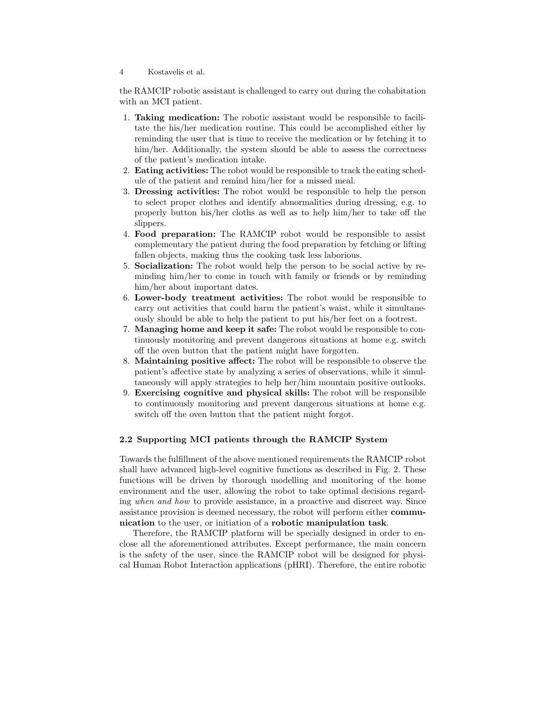the RAMCIP robotic assistant is challenged to carry out during the cohabitation with an MCI patient.

- 1. Taking medication: The robotic assistant would be responsible to facilitate the his/her medication routine. This could be accomplished either by reminding the user that is time to receive the medication or by fetching it to him/her. Additionally, the system should be able to assess the correctness of the patient's medication intake.
- 2. Eating activities: The robot would be responsible to track the eating schedule of the patient and remind him/her for a missed meal.
- 3. Dressing activities: The robot would be responsible to help the person to select proper clothes and identify abnormalities during dressing, e.g. to properly button his/her cloths as well as to help him/her to take off the slippers.
- 4. Food preparation: The RAMCIP robot would be responsible to assist complementary the patient during the food preparation by fetching or lifting fallen objects, making thus the cooking task less laborious.
- 5. Socialization: The robot would help the person to be social active by reminding him/her to come in touch with family or friends or by reminding him/her about important dates.
- 6. Lower-body treatment activities: The robot would be responsible to carry out activities that could harm the patient's waist, while it simultaneously should be able to help the patient to put his/her feet on a footrest.
- 7. Managing home and keep it safe: The robot would be responsible to continuously monitoring and prevent dangerous situations at home e.g. switch off the oven button that the patient might have forgotten.
- 8. Maintaining positive affect: The robot will be responsible to observe the patient's affective state by analyzing a series of observations, while it simultaneously will apply strategies to help her/him mountain positive outlooks.
- 9. Exercising cognitive and physical skills: The robot will be responsible to continuously monitoring and prevent dangerous situations at home e.g. switch off the oven button that the patient might forgot.

## 2.2 Supporting MCI patients through the RAMCIP System

Towards the fulfillment of the above mentioned requirements the RAMCIP robot shall have advanced high-level cognitive functions as described in Fig. 2. These functions will be driven by thorough modelling and monitoring of the home environment and the user, allowing the robot to take optimal decisions regarding when and how to provide assistance, in a proactive and discreet way. Since assistance provision is deemed necessary, the robot will perform either communication to the user, or initiation of a robotic manipulation task.

Therefore, the RAMCIP platform will be specially designed in order to enclose all the aforementioned attributes. Except performance, the main concern is the safety of the user, since the RAMCIP robot will be designed for physical Human Robot Interaction applications (pHRI). Therefore, the entire robotic

<sup>4</sup> Kostavelis et al.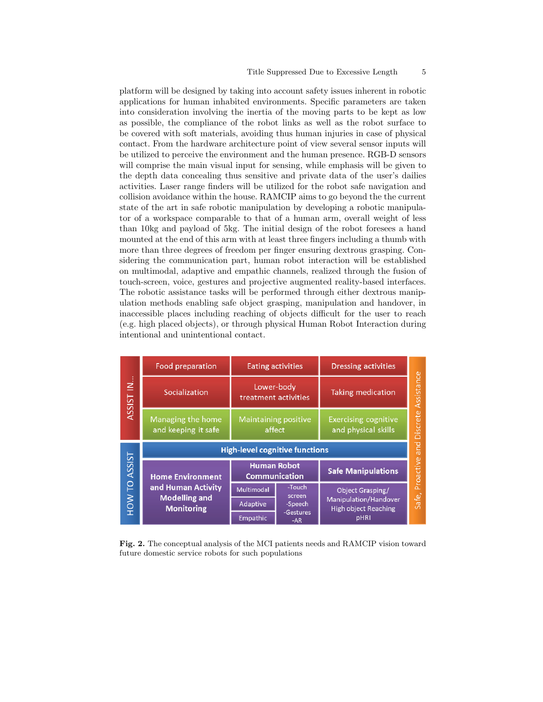platform will be designed by taking into account safety issues inherent in robotic applications for human inhabited environments. Specific parameters are taken into consideration involving the inertia of the moving parts to be kept as low as possible, the compliance of the robot links as well as the robot surface to be covered with soft materials, avoiding thus human injuries in case of physical contact. From the hardware architecture point of view several sensor inputs will be utilized to perceive the environment and the human presence. RGB-D sensors will comprise the main visual input for sensing, while emphasis will be given to the depth data concealing thus sensitive and private data of the user's dailies activities. Laser range finders will be utilized for the robot safe navigation and collision avoidance within the house. RAMCIP aims to go beyond the the current state of the art in safe robotic manipulation by developing a robotic manipulator of a workspace comparable to that of a human arm, overall weight of less than 10kg and payload of 5kg. The initial design of the robot foresees a hand mounted at the end of this arm with at least three fingers including a thumb with more than three degrees of freedom per finger ensuring dextrous grasping. Considering the communication part, human robot interaction will be established on multimodal, adaptive and empathic channels, realized through the fusion of touch-screen, voice, gestures and projective augmented reality-based interfaces. The robotic assistance tasks will be performed through either dextrous manipulation methods enabling safe object grasping, manipulation and handover, in inaccessible places including reaching of objects difficult for the user to reach (e.g. high placed objects), or through physical Human Robot Interaction during intentional and unintentional contact.

| ASSIST IN     | <b>Food preparation</b>                   | <b>Eating activities</b>                   |                                | <b>Dressing activities</b>                           | Assistance<br>Discrete |
|---------------|-------------------------------------------|--------------------------------------------|--------------------------------|------------------------------------------------------|------------------------|
|               | Socialization                             | Lower-body<br>treatment activities         |                                | Taking medication                                    |                        |
|               | Managing the home<br>and keeping it safe  | Maintaining positive<br>affect             |                                | <b>Exercising cognitive</b><br>and physical skills   |                        |
|               | <b>High-level cognitive functions</b>     |                                            |                                |                                                      |                        |
|               |                                           |                                            |                                |                                                      | loue                   |
|               | <b>Home Environment</b>                   | <b>Human Robot</b><br><b>Communication</b> |                                | <b>Safe Manipulations</b>                            |                        |
|               | and Human Activity                        | Multimodal                                 | -Touch                         | Object Grasping/                                     | Proactive              |
| HOW TO ASSIST | <b>Modelling and</b><br><b>Monitoring</b> | Adaptive                                   | screen<br>-Speech<br>-Gestures | Manipulation/Handover<br><b>High object Reaching</b> | Safe,                  |

Fig. 2. The conceptual analysis of the MCI patients needs and RAMCIP vision toward future domestic service robots for such populations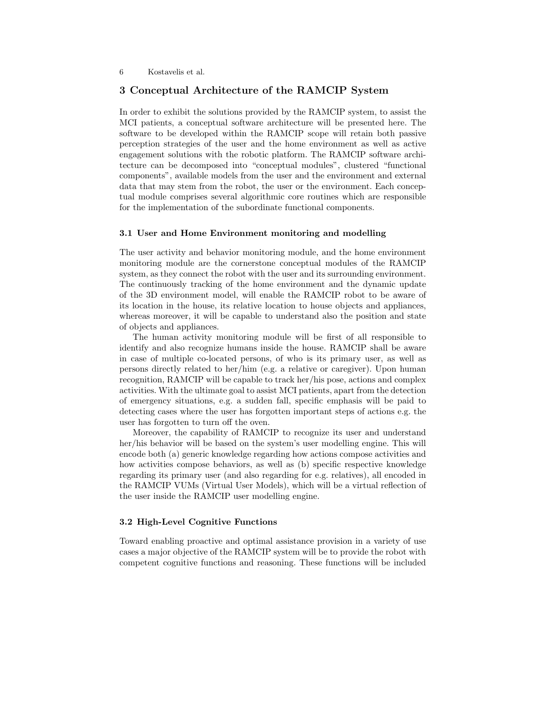6 Kostavelis et al.

# 3 Conceptual Architecture of the RAMCIP System

In order to exhibit the solutions provided by the RAMCIP system, to assist the MCI patients, a conceptual software architecture will be presented here. The software to be developed within the RAMCIP scope will retain both passive perception strategies of the user and the home environment as well as active engagement solutions with the robotic platform. The RAMCIP software architecture can be decomposed into "conceptual modules", clustered "functional components", available models from the user and the environment and external data that may stem from the robot, the user or the environment. Each conceptual module comprises several algorithmic core routines which are responsible for the implementation of the subordinate functional components.

#### 3.1 User and Home Environment monitoring and modelling

The user activity and behavior monitoring module, and the home environment monitoring module are the cornerstone conceptual modules of the RAMCIP system, as they connect the robot with the user and its surrounding environment. The continuously tracking of the home environment and the dynamic update of the 3D environment model, will enable the RAMCIP robot to be aware of its location in the house, its relative location to house objects and appliances, whereas moreover, it will be capable to understand also the position and state of objects and appliances.

The human activity monitoring module will be first of all responsible to identify and also recognize humans inside the house. RAMCIP shall be aware in case of multiple co-located persons, of who is its primary user, as well as persons directly related to her/him (e.g. a relative or caregiver). Upon human recognition, RAMCIP will be capable to track her/his pose, actions and complex activities. With the ultimate goal to assist MCI patients, apart from the detection of emergency situations, e.g. a sudden fall, specific emphasis will be paid to detecting cases where the user has forgotten important steps of actions e.g. the user has forgotten to turn off the oven.

Moreover, the capability of RAMCIP to recognize its user and understand her/his behavior will be based on the system's user modelling engine. This will encode both (a) generic knowledge regarding how actions compose activities and how activities compose behaviors, as well as (b) specific respective knowledge regarding its primary user (and also regarding for e.g. relatives), all encoded in the RAMCIP VUMs (Virtual User Models), which will be a virtual reflection of the user inside the RAMCIP user modelling engine.

## 3.2 High-Level Cognitive Functions

Toward enabling proactive and optimal assistance provision in a variety of use cases a major objective of the RAMCIP system will be to provide the robot with competent cognitive functions and reasoning. These functions will be included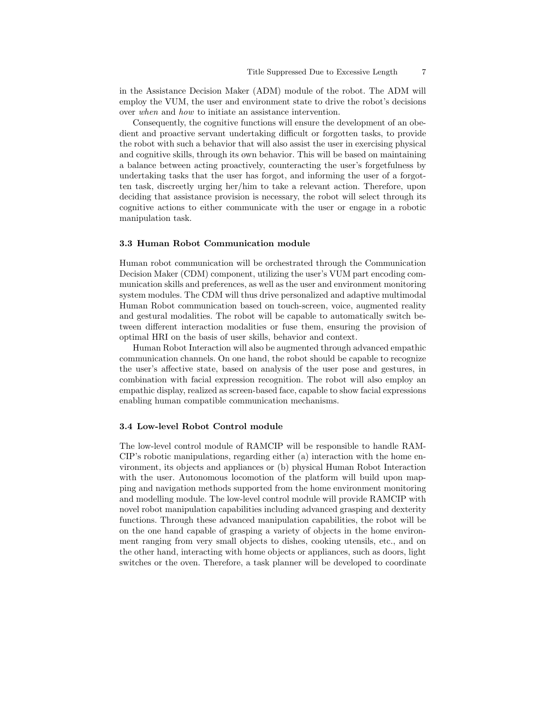in the Assistance Decision Maker (ADM) module of the robot. The ADM will employ the VUM, the user and environment state to drive the robot's decisions over when and how to initiate an assistance intervention.

Consequently, the cognitive functions will ensure the development of an obedient and proactive servant undertaking difficult or forgotten tasks, to provide the robot with such a behavior that will also assist the user in exercising physical and cognitive skills, through its own behavior. This will be based on maintaining a balance between acting proactively, counteracting the user's forgetfulness by undertaking tasks that the user has forgot, and informing the user of a forgotten task, discreetly urging her/him to take a relevant action. Therefore, upon deciding that assistance provision is necessary, the robot will select through its cognitive actions to either communicate with the user or engage in a robotic manipulation task.

#### 3.3 Human Robot Communication module

Human robot communication will be orchestrated through the Communication Decision Maker (CDM) component, utilizing the user's VUM part encoding communication skills and preferences, as well as the user and environment monitoring system modules. The CDM will thus drive personalized and adaptive multimodal Human Robot communication based on touch-screen, voice, augmented reality and gestural modalities. The robot will be capable to automatically switch between different interaction modalities or fuse them, ensuring the provision of optimal HRI on the basis of user skills, behavior and context.

Human Robot Interaction will also be augmented through advanced empathic communication channels. On one hand, the robot should be capable to recognize the user's affective state, based on analysis of the user pose and gestures, in combination with facial expression recognition. The robot will also employ an empathic display, realized as screen-based face, capable to show facial expressions enabling human compatible communication mechanisms.

#### 3.4 Low-level Robot Control module

The low-level control module of RAMCIP will be responsible to handle RAM-CIP's robotic manipulations, regarding either (a) interaction with the home environment, its objects and appliances or (b) physical Human Robot Interaction with the user. Autonomous locomotion of the platform will build upon mapping and navigation methods supported from the home environment monitoring and modelling module. The low-level control module will provide RAMCIP with novel robot manipulation capabilities including advanced grasping and dexterity functions. Through these advanced manipulation capabilities, the robot will be on the one hand capable of grasping a variety of objects in the home environment ranging from very small objects to dishes, cooking utensils, etc., and on the other hand, interacting with home objects or appliances, such as doors, light switches or the oven. Therefore, a task planner will be developed to coordinate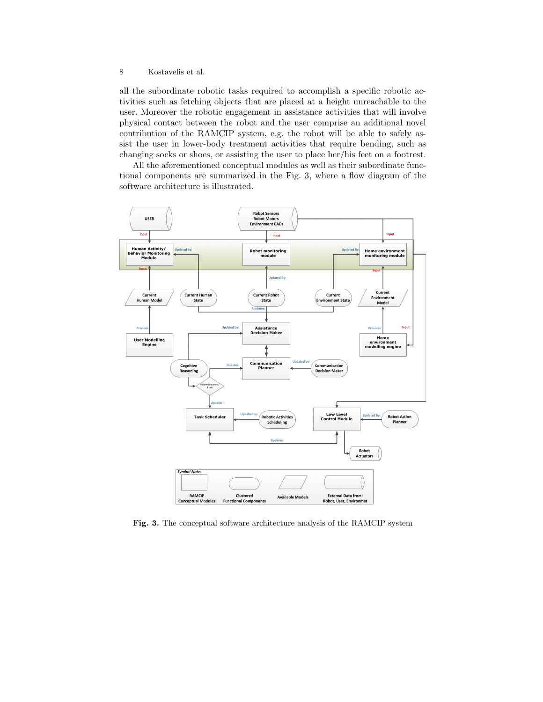all the subordinate robotic tasks required to accomplish a specific robotic activities such as fetching objects that are placed at a height unreachable to the user. Moreover the robotic engagement in assistance activities that will involve physical contact between the robot and the user comprise an additional novel contribution of the RAMCIP system, e.g. the robot will be able to safely assist the user in lower-body treatment activities that require bending, such as changing socks or shoes, or assisting the user to place her/his feet on a footrest.

All the aforementioned conceptual modules as well as their subordinate functional components are summarized in the Fig. 3, where a flow diagram of the software architecture is illustrated.



Fig. 3. The conceptual software architecture analysis of the RAMCIP system

<sup>8</sup> Kostavelis et al.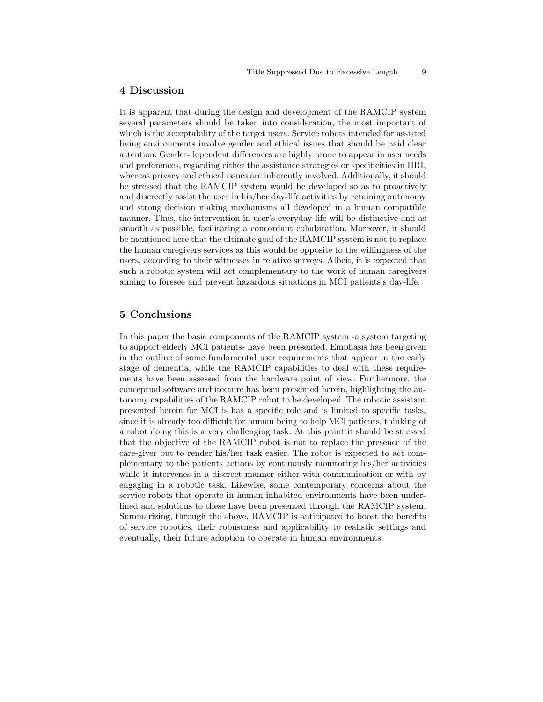# 4 Discussion

It is apparent that during the design and development of the RAMCIP system several parameters should be taken into consideration, the most important of which is the acceptability of the target users. Service robots intended for assisted living environments involve gender and ethical issues that should be paid clear attention. Gender-dependent differences are highly prone to appear in user needs and preferences, regarding either the assistance strategies or specificities in HRI, whereas privacy and ethical issues are inherently involved. Additionally, it should be stressed that the RAMCIP system would be developed so as to proactively and discreetly assist the user in his/her day-life activities by retaining autonomy and strong decision making mechanisms all developed in a human compatible manner. Thus, the intervention in user's everyday life will be distinctive and as smooth as possible, facilitating a concordant cohabitation. Moreover, it should be mentioned here that the ultimate goal of the RAMCIP system is not to replace the human caregivers services as this would be opposite to the willingness of the users, according to their witnesses in relative surveys. Albeit, it is expected that such a robotic system will act complementary to the work of human caregivers aiming to foresee and prevent hazardous situations in MCI patients's day-life.

## 5 Conclusions

In this paper the basic components of the RAMCIP system -a system targeting to support elderly MCI patients- have been presented. Emphasis has been given in the outline of some fundamental user requirements that appear in the early stage of dementia, while the RAMCIP capabilities to deal with these requirements have been assessed from the hardware point of view. Furthermore, the conceptual software architecture has been presented herein, highlighting the autonomy capabilities of the RAMCIP robot to be developed. The robotic assistant presented herein for MCI is has a specific role and is limited to specific tasks, since it is already too difficult for human being to help MCI patients, thinking of a robot doing this is a very challenging task. At this point it should be stressed that the objective of the RAMCIP robot is not to replace the presence of the care-giver but to render his/her task easier. The robot is expected to act complementary to the patients actions by contiuously monitoring his/her activities while it intervenes in a discreet manner either with communication or with by engaging in a robotic task. Likewise, some contemporary concerns about the service robots that operate in human inhabited environments have been underlined and solutions to these have been presented through the RAMCIP system. Summarizing, through the above, RAMCIP is anticipated to boost the benefits of service robotics, their robustness and applicability to realistic settings and eventually, their future adoption to operate in human environments.